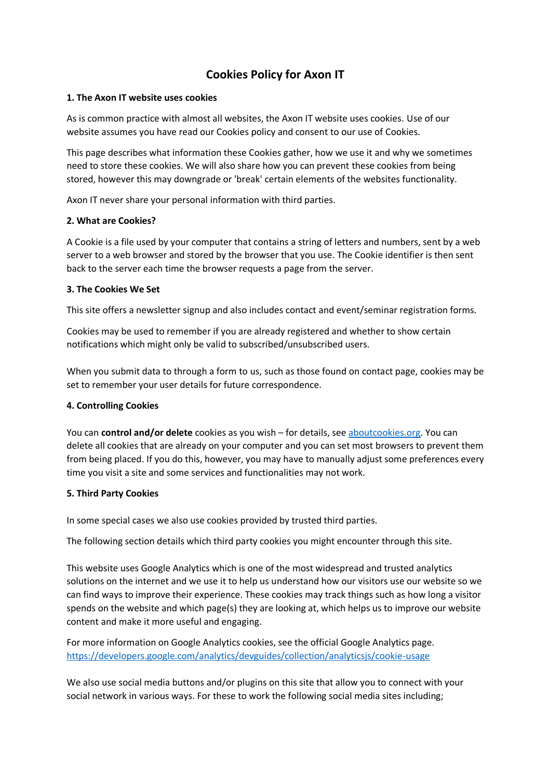# **Cookies Policy for Axon IT**

### **1. The Axon IT website uses cookies**

As is common practice with almost all websites, the Axon IT website uses cookies. Use of our website assumes you have read our Cookies policy and consent to our use of Cookies.

This page describes what information these Cookies gather, how we use it and why we sometimes need to store these cookies. We will also share how you can prevent these cookies from being stored, however this may downgrade or 'break' certain elements of the websites functionality.

Axon IT never share your personal information with third parties.

## **2. What are Cookies?**

A Cookie is a file used by your computer that contains a string of letters and numbers, sent by a web server to a web browser and stored by the browser that you use. The Cookie identifier is then sent back to the server each time the browser requests a page from the server.

## **3. The Cookies We Set**

This site offers a newsletter signup and also includes contact and event/seminar registration forms.

Cookies may be used to remember if you are already registered and whether to show certain notifications which might only be valid to subscribed/unsubscribed users.

When you submit data to through a form to us, such as those found on contact page, cookies may be set to remember your user details for future correspondence.

## **4. Controlling Cookies**

You can **control and/or delete** cookies as you wish – for details, se[e aboutcookies.org.](http://www.aboutcookies.org/) You can delete all cookies that are already on your computer and you can set most browsers to prevent them from being placed. If you do this, however, you may have to manually adjust some preferences every time you visit a site and some services and functionalities may not work.

## **5. Third Party Cookies**

In some special cases we also use cookies provided by trusted third parties.

The following section details which third party cookies you might encounter through this site.

This website uses Google Analytics which is one of the most widespread and trusted analytics solutions on the internet and we use it to help us understand how our visitors use our website so we can find ways to improve their experience. These cookies may track things such as how long a visitor spends on the website and which page(s) they are looking at, which helps us to improve our website content and make it more useful and engaging.

For more information on Google Analytics cookies, see the official Google Analytics page. <https://developers.google.com/analytics/devguides/collection/analyticsjs/cookie-usage>

We also use social media buttons and/or plugins on this site that allow you to connect with your social network in various ways. For these to work the following social media sites including;